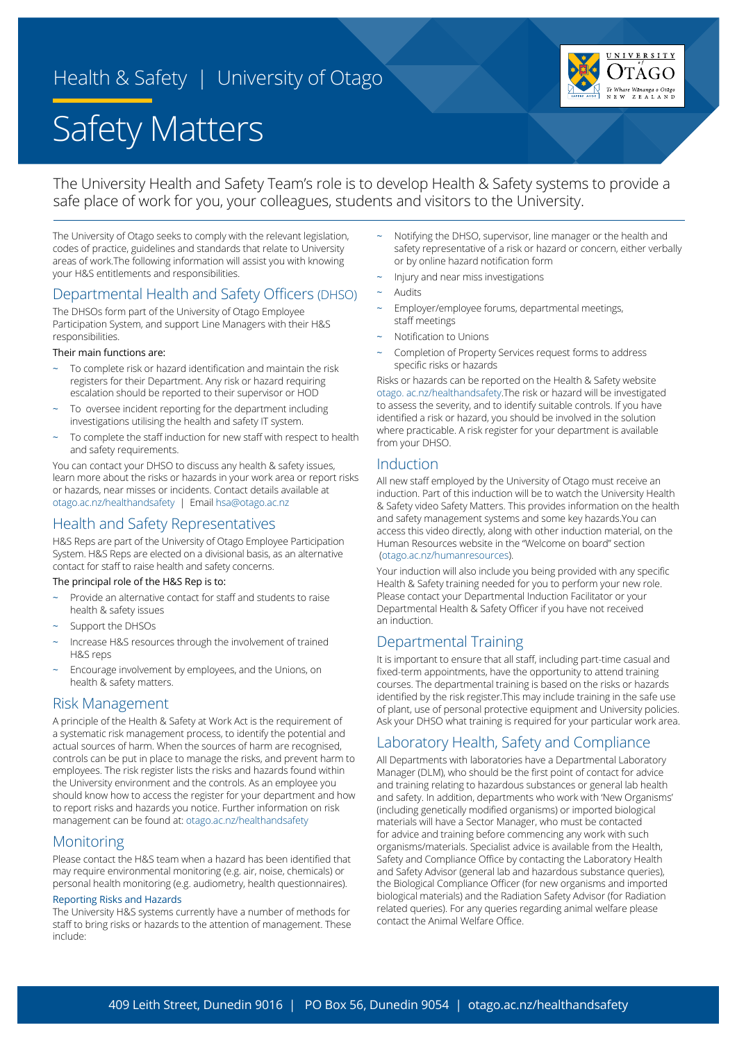# Health & Safety | University of Otago





The University Health and Safety Team's role is to develop Health & Safety systems to provide a safe place of work for you, your colleagues, students and visitors to the University.

The University of Otago seeks to comply with the relevant legislation, codes of practice, guidelines and standards that relate to University areas of work.The following information will assist you with knowing your H&S entitlements and responsibilities.

### Departmental Health and Safety Officers (DHSO)

The DHSOs form part of the University of Otago Employee Participation System, and support Line Managers with their H&S responsibilities.

#### Their main functions are:

- To complete risk or hazard identification and maintain the risk registers for their Department. Any risk or hazard requiring escalation should be reported to their supervisor or HOD
- To oversee incident reporting for the department including investigations utilising the health and safety IT system.
- To complete the staff induction for new staff with respect to health and safety requirements.

You can contact your DHSO to discuss any health & safety issues, learn more about the risks or hazards in your work area or report risks or hazards, near misses or incidents. Contact details available at [otago.ac.nz/healthandsafety](http://otago.ac.nz/healthandsafety) | Email [hsa@otago.ac.nz](mailto:hsa%40otago.ac.nz?subject=)

### Health and Safety Representatives

H&S Reps are part of the University of Otago Employee Participation System. H&S Reps are elected on a divisional basis, as an alternative contact for staff to raise health and safety concerns.

#### The principal role of the H&S Rep is to:

- Provide an alternative contact for staff and students to raise health & safety issues
- Support the DHSOs
- Increase H&S resources through the involvement of trained H&S reps
- Encourage involvement by employees, and the Unions, on health & safety matters.

#### Risk Management

A principle of the Health & Safety at Work Act is the requirement of a systematic risk management process, to identify the potential and actual sources of harm. When the sources of harm are recognised, controls can be put in place to manage the risks, and prevent harm to employees. The risk register lists the risks and hazards found within the University environment and the controls. As an employee you should know how to access the register for your department and how to report risks and hazards you notice. Further information on risk management can be found at: [otago.ac.nz/healthandsafety](http://otago.ac.nz/healthandsafety ) 

#### **Monitoring**

Please contact the H&S team when a hazard has been identified that may require environmental monitoring (e.g. air, noise, chemicals) or personal health monitoring (e.g. audiometry, health questionnaires).

#### Reporting Risks and Hazards

The University H&S systems currently have a number of methods for staff to bring risks or hazards to the attention of management. These include:

- Notifying the DHSO, supervisor, line manager or the health and safety representative of a risk or hazard or concern, either verbally or by online hazard notification form
- Injury and near miss investigations
- **Audits**
- Employer/employee forums, departmental meetings, staff meetings
- Notification to Unions
- Completion of Property Services request forms to address specific risks or hazards

Risks or hazards can be reported on the Health & Safety website [otago. ac.nz/healthandsafety](http://otago. ac.nz/healthandsafety).The risk or hazard will be investigated to assess the severity, and to identify suitable controls. If you have identified a risk or hazard, you should be involved in the solution where practicable. A risk register for your department is available from your DHSO.

#### Induction

All new staff employed by the University of Otago must receive an induction. Part of this induction will be to watch the University Health & Safety video Safety Matters. This provides information on the health and safety management systems and some key hazards.You can access this video directly, along with other induction material, on the Human Resources website in the "Welcome on board" section  [\(otago.ac.nz/humanresources](http://(otago.ac.nz/humanresources)).

Your induction will also include you being provided with any specific Health & Safety training needed for you to perform your new role. Please contact your Departmental Induction Facilitator or your Departmental Health & Safety Officer if you have not received an induction.

### Departmental Training

It is important to ensure that all staff, including part-time casual and fixed-term appointments, have the opportunity to attend training courses. The departmental training is based on the risks or hazards identified by the risk register.This may include training in the safe use of plant, use of personal protective equipment and University policies. Ask your DHSO what training is required for your particular work area.

### Laboratory Health, Safety and Compliance

All Departments with laboratories have a Departmental Laboratory Manager (DLM), who should be the first point of contact for advice and training relating to hazardous substances or general lab health and safety. In addition, departments who work with 'New Organisms' (including genetically modified organisms) or imported biological materials will have a Sector Manager, who must be contacted for advice and training before commencing any work with such organisms/materials. Specialist advice is available from the Health, Safety and Compliance Office by contacting the Laboratory Health and Safety Advisor (general lab and hazardous substance queries), the Biological Compliance Officer (for new organisms and imported biological materials) and the Radiation Safety Advisor (for Radiation related queries). For any queries regarding animal welfare please contact the Animal Welfare Office.